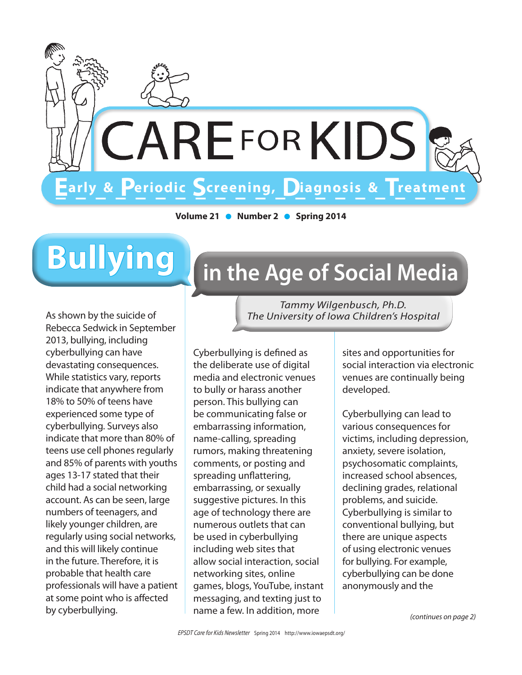

Volume 21 • Number 2 • Spring 2014

# **Bullying**

As shown by the suicide of Rebecca Sedwick in September 2013, bullying, including cyberbullying can have devastating consequences. While statistics vary, reports indicate that anywhere from 18% to 50% of teens have experienced some type of cyberbullying. Surveys also indicate that more than 80% of teens use cell phones regularly and 85% of parents with youths ages 13-17 stated that their child had a social networking account. As can be seen, large numbers of teenagers, and likely younger children, are regularly using social networks, and this will likely continue in the future. Therefore, it is probable that health care professionals will have a patient at some point who is affected by cyberbullying.

## in the Age of Social Media

Tammy Wilgenbusch, Ph.D. The University of Iowa Children's Hospital

Cvberbullying is defined as the deliberate use of digital media and electronic venues to bully or harass another person. This bullying can be communicating false or embarrassing information, name-calling, spreading rumors, making threatening comments, or posting and spreading unflattering, embarrassing, or sexually suggestive pictures. In this age of technology there are numerous outlets that can be used in cyberbullying including web sites that allow social interaction, social networking sites, online games, blogs, YouTube, instant messaging, and texting just to name a few. In addition, more

sites and opportunities for social interaction via electronic venues are continually being developed.

Cyberbullying can lead to various consequences for victims, including depression, anxiety, severe isolation, psychosomatic complaints, increased school absences, declining grades, relational problems, and suicide. Cyberbullying is similar to conventional bullying, but there are unique aspects of using electronic venues for bullying. For example, cyberbullying can be done anonymously and the

(continues on page 2)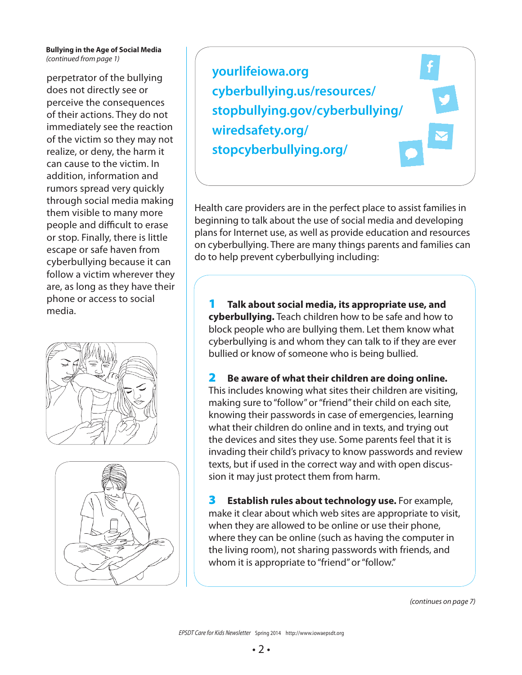### **Bullying in the Age of Social Media** (continued from page 1)

perpetrator of the bullying does not directly see or perceive the consequences of their actions. They do not immediately see the reaction of the victim so they may not realize, or deny, the harm it can cause to the victim. In addition, information and rumors spread very quickly through social media making them visible to many more people and difficult to erase or stop. Finally, there is little escape or safe haven from cyberbullying because it can follow a victim wherever they are, as long as they have their phone or access to social media.





**yourlifeiowa.org [cyberbullying.us/resources/](http://cyberbullying.us/resources/parents/)  [stopbullying.gov/cyberbullying/](http://www.stopbullying.gov/cyberbullying/) [wiredsafety.org/](https://www.wiredsafety.org/) [stopcyberbullying.org/](http://stopcyberbullying.org/)**

Health care providers are in the perfect place to assist families in beginning to talk about the use of social media and developing plans for Internet use, as well as provide education and resources on cyberbullying. There are many things parents and families can do to help prevent cyberbullying including:

1 **Talk about social media, its appropriate use, and cyberbullying.** Teach children how to be safe and how to block people who are bullying them. Let them know what cyberbullying is and whom they can talk to if they are ever bullied or know of someone who is being bullied.

2 **Be aware of what their children are doing online.**  This includes knowing what sites their children are visiting, making sure to "follow" or "friend" their child on each site, knowing their passwords in case of emergencies, learning what their children do online and in texts, and trying out the devices and sites they use. Some parents feel that it is invading their child's privacy to know passwords and review texts, but if used in the correct way and with open discussion it may just protect them from harm.

3 **Establish rules about technology use.** For example, make it clear about which web sites are appropriate to visit, when they are allowed to be online or use their phone, where they can be online (such as having the computer in the living room), not sharing passwords with friends, and whom it is appropriate to "friend" or "follow."

(continues on page 7)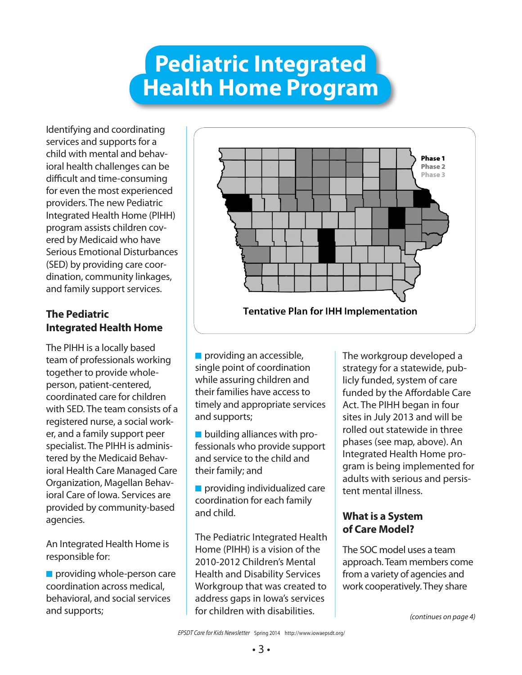## **Pediatric Integrated Health Home Program**

Identifying and coordinating services and supports for a child with mental and behavioral health challenges can be difficult and time-consuming for even the most experienced providers. The new Pediatric Integrated Health Home (PIHH) program assists children covered by Medicaid who have Serious Emotional Disturbances (SED) by providing care coordination, community linkages, and family support services.

### **The Pediatric Integrated Health Home**

The PIHH is a locally based team of professionals working together to provide wholeperson, patient-centered, coordinated care for children with SED. The team consists of a registered nurse, a social worker, and a family support peer specialist. The PIHH is administered by the Medicaid Behavioral Health Care Managed Care Organization, Magellan Behavioral Care of Iowa. Services are provided by community-based agencies.

An Integrated Health Home is responsible for:

 $\blacksquare$  providing whole-person care coordination across medical, behavioral, and social services and supports;



 $\blacksquare$  providing an accessible, single point of coordination while assuring children and their families have access to timely and appropriate services and supports;

 $\blacksquare$  building alliances with professionals who provide support and service to the child and their family; and

 $\blacksquare$  providing individualized care coordination for each family and child.

The Pediatric Integrated Health Home (PIHH) is a vision of the 2010-2012 Children's Mental Health and Disability Services Workgroup that was created to address gaps in Iowa's services for children with disabilities.

The workgroup developed a strategy for a statewide, publicly funded, system of care funded by the Affordable Care Act. The PIHH began in four sites in July 2013 and will be rolled out statewide in three phases (see map, above). An Integrated Health Home program is being implemented for adults with serious and persistent mental illness.

### **What is a System of Care Model?**

The SOC model uses a team approach. Team members come from a variety of agencies and work cooperatively. They share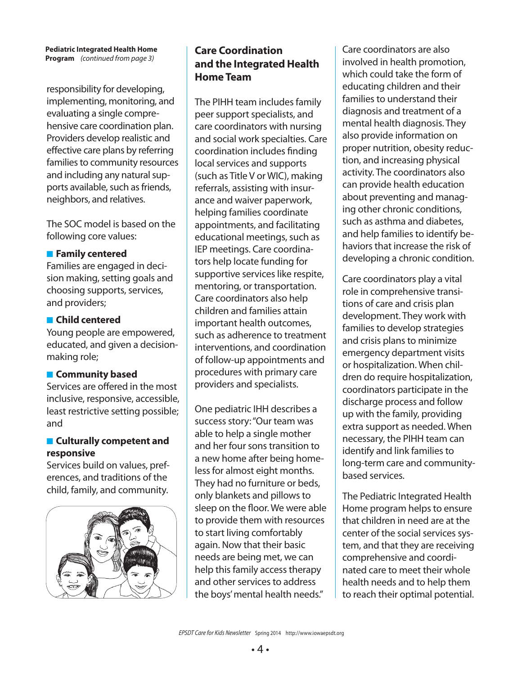#### **Pediatric Integrated Health Home Program** (continued from page 3)

responsibility for developing, implementing, monitoring, and evaluating a single comprehensive care coordination plan. Providers develop realistic and effective care plans by referring families to community resources and including any natural supports available, such as friends, neighbors, and relatives.

The SOC model is based on the following core values:

### **Family centered**

Families are engaged in decision making, setting goals and choosing supports, services, and providers;

### **n** Child centered

Young people are empowered, educated, and given a decisionmaking role;

### **E** Community based

Services are offered in the most inclusive, responsive, accessible, least restrictive setting possible; and

### **E** Culturally competent and **responsive**

Services build on values, preferences, and traditions of the child, family, and community.



### **Care Coordination and the Integrated Health Home Team**

The PIHH team includes family peer support specialists, and care coordinators with nursing and social work specialties. Care coordination includes finding local services and supports (such as Title V or WIC), making referrals, assisting with insurance and waiver paperwork, helping families coordinate appointments, and facilitating educational meetings, such as IEP meetings. Care coordinators help locate funding for supportive services like respite, mentoring, or transportation. Care coordinators also help children and families attain important health outcomes, such as adherence to treatment interventions, and coordination of follow-up appointments and procedures with primary care providers and specialists.

One pediatric IHH describes a success story: "Our team was able to help a single mother and her four sons transition to a new home after being homeless for almost eight months. They had no furniture or beds, only blankets and pillows to sleep on the floor. We were able to provide them with resources to start living comfortably again. Now that their basic needs are being met, we can help this family access therapy and other services to address the boys' mental health needs."

Care coordinators are also involved in health promotion, which could take the form of educating children and their families to understand their diagnosis and treatment of a mental health diagnosis. They also provide information on proper nutrition, obesity reduction, and increasing physical activity. The coordinators also can provide health education about preventing and managing other chronic conditions, such as asthma and diabetes, and help families to identify behaviors that increase the risk of developing a chronic condition.

Care coordinators play a vital role in comprehensive transitions of care and crisis plan development. They work with families to develop strategies and crisis plans to minimize emergency department visits or hospitalization. When children do require hospitalization, coordinators participate in the discharge process and follow up with the family, providing extra support as needed. When necessary, the PIHH team can identify and link families to long-term care and communitybased services.

The Pediatric Integrated Health Home program helps to ensure that children in need are at the center of the social services system, and that they are receiving comprehensive and coordinated care to meet their whole health needs and to help them to reach their optimal potential.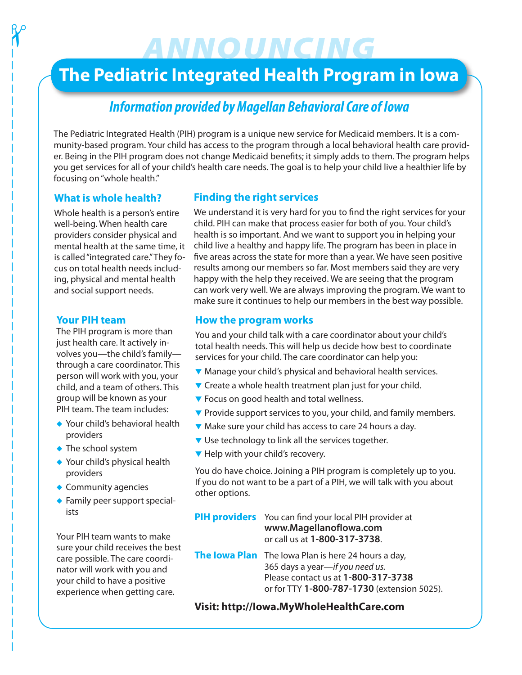## ANNOUNCING

### **The Pediatric Integrated Health Program in Iowa**

### **Information provided by Magellan Behavioral Care of Iowa**

The Pediatric Integrated Health (PIH) program is a unique new service for Medicaid members. It is a community-based program. Your child has access to the program through a local behavioral health care provider. Being in the PIH program does not change Medicaid benefits; it simply adds to them. The program helps you get services for all of your child's health care needs. The goal is to help your child live a healthier life by focusing on "whole health."

### **What is whole health?**

 $\gamma$ 

Whole health is a person's entire well-being. When health care providers consider physical and mental health at the same time, it is called "integrated care." They focus on total health needs including, physical and mental health and social support needs.

### **Your PIH team**

The PIH program is more than just health care. It actively involves you—the child's family through a care coordinator. This person will work with you, your child, and a team of others. This group will be known as your PIH team. The team includes:

- ◆ Your child's behavioral health providers
- $\bullet$  The school system
- $\blacklozenge$  Your child's physical health providers
- $\triangle$  Community agencies
- $\blacklozenge$  Family peer support specialists

Your PIH team wants to make sure your child receives the best care possible. The care coordinator will work with you and your child to have a positive experience when getting care.

### **Finding the right services**

We understand it is very hard for you to find the right services for your child. PIH can make that process easier for both of you. Your child's health is so important. And we want to support you in helping your child live a healthy and happy life. The program has been in place in five areas across the state for more than a year. We have seen positive results among our members so far. Most members said they are very happy with the help they received. We are seeing that the program can work very well. We are always improving the program. We want to make sure it continues to help our members in the best way possible.

### **How the program works**

You and your child talk with a care coordinator about your child's total health needs. This will help us decide how best to coordinate services for your child. The care coordinator can help you:

- ▼ Manage your child's physical and behavioral health services.
- $\blacktriangledown$  Create a whole health treatment plan just for your child.
- **V** Focus on good health and total wellness.
- $\blacktriangledown$  Provide support services to you, your child, and family members.
- Make sure your child has access to care 24 hours a day.
- $\blacktriangledown$  Use technology to link all the services together.
- $\blacktriangledown$  Help with your child's recovery.

You do have choice. Joining a PIH program is completely up to you. If you do not want to be a part of a PIH, we will talk with you about other options.

**PIH providers** You can find your local PIH provider at **[www.MagellanofIowa.com](http://www.MagellanofIowa.com)** or call us at **1-800-317-3738**.

**The Iowa Plan** The Iowa Plan is here 24 hours a day, 365 days a year—if you need us. Please contact us at **1-800-317-3738** or for TTY **1-800-787-1730** (extension 5025).

**Visit: http://Iowa.MyWholeHealthCare.com**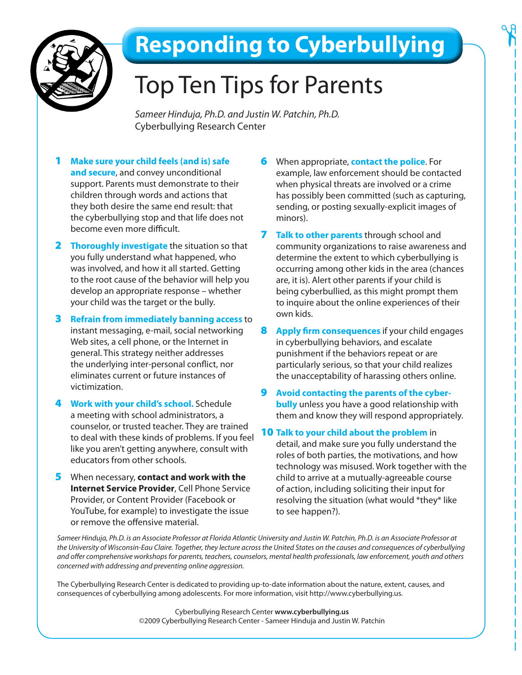

## **Responding to Cyberbullying**

## **Top Ten Tips for Parents**

Sameer Hinduja, Ph.D. and Justin W. Patchin, Ph.D. **Cyberbullying Research Center** 

- Make sure your child feels (and is) safe  $\mathbf 1$ and secure, and convey unconditional support. Parents must demonstrate to their children through words and actions that they both desire the same end result: that the cyberbullying stop and that life does not become even more difficult.
- **2** Thoroughly investigate the situation so that you fully understand what happened, who was involved, and how it all started. Getting to the root cause of the behavior will help you develop an appropriate response - whether your child was the target or the bully.
- **3** Refrain from immediately banning access to instant messaging, e-mail, social networking Web sites, a cell phone, or the Internet in general. This strategy neither addresses the underlying inter-personal conflict, nor eliminates current or future instances of victimization.
- 4 Work with your child's school. Schedule a meeting with school administrators, a counselor, or trusted teacher. They are trained to deal with these kinds of problems. If you feel like you aren't getting anywhere, consult with educators from other schools.
- 5 When necessary, contact and work with the **Internet Service Provider, Cell Phone Service** Provider, or Content Provider (Facebook or YouTube, for example) to investigate the issue or remove the offensive material.
- When appropriate, contact the police. For 6. example, law enforcement should be contacted when physical threats are involved or a crime has possibly been committed (such as capturing, sending, or posting sexually-explicit images of minors).
- 7 Talk to other parents through school and community organizations to raise awareness and determine the extent to which cyberbullying is occurring among other kids in the area (chances are, it is). Alert other parents if your child is being cyberbullied, as this might prompt them to inquire about the online experiences of their own kids.
- 8 Apply firm consequences if your child engages in cyberbullying behaviors, and escalate punishment if the behaviors repeat or are particularly serious, so that your child realizes the unacceptability of harassing others online.
- 9 Avoid contacting the parents of the cyber**bully** unless you have a good relationship with them and know they will respond appropriately.
- 10 Talk to your child about the problem in detail, and make sure you fully understand the roles of both parties, the motivations, and how technology was misused. Work together with the child to arrive at a mutually-agreeable course of action, including soliciting their input for resolving the situation (what would \*they\* like to see happen?).

Sameer Hinduja, Ph.D. is an Associate Professor at Florida Atlantic University and Justin W. Patchin, Ph.D. is an Associate Professor at the University of Wisconsin-Eau Claire. Together, they lecture across the United States on the causes and consequences of cyberbullying and offer comprehensive workshops for parents, teachers, counselors, mental health professionals, law enforcement, youth and others concerned with addressing and preventing online aggression.

The Cyberbullying Research Center is dedicated to providing up-to-date information about the nature, extent, causes, and consequences of cyberbullying among adolescents. For more information, visit http://www.cyberbullying.us.

> Cyberbullying Research Center www.cyberbullying.us ©2009 Cyberbullying Research Center - Sameer Hinduja and Justin W. Patchin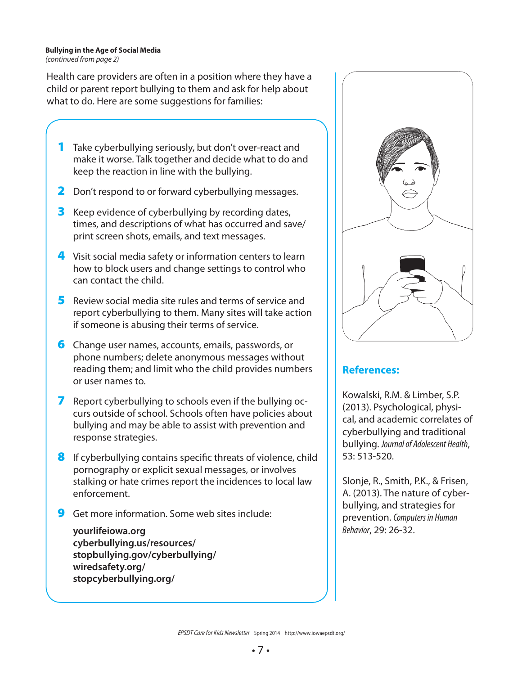#### **Bullying in the Age of Social Media** (continued from page 2)

Health care providers are often in a position where they have a child or parent report bullying to them and ask for help about what to do. Here are some suggestions for families:

- 1 Take cyberbullying seriously, but don't over-react and make it worse. Talk together and decide what to do and keep the reaction in line with the bullying.
- 2 Don't respond to or forward cyberbullying messages.
- **3** Keep evidence of cyberbullying by recording dates, times, and descriptions of what has occurred and save/ print screen shots, emails, and text messages.
- 4 Visit social media safety or information centers to learn how to block users and change settings to control who can contact the child.
- 5 Review social media site rules and terms of service and report cyberbullying to them. Many sites will take action if someone is abusing their terms of service.
- **6** Change user names, accounts, emails, passwords, or phone numbers; delete anonymous messages without reading them; and limit who the child provides numbers or user names to.
- 7 Report cyberbullying to schools even if the bullying occurs outside of school. Schools often have policies about bullying and may be able to assist with prevention and response strategies.
- 8 If cyberbullying contains specific threats of violence, child pornography or explicit sexual messages, or involves stalking or hate crimes report the incidences to local law enforcement.
- 9 Get more information. Some web sites include:

**yourlifeiowa.org [cyberbullying.us/resources/](http://cyberbullying.us/resources/parents/)  [stopbullying.gov/cyberbullying/](http://www.stopbullying.gov/cyberbullying/) [wiredsafety.org/](https://www.wiredsafety.org/) [stopcyberbullying.org/](http://stopcyberbullying.org/)**



### **References:**

Kowalski, R.M. & Limber, S.P. (2013). Psychological, physical, and academic correlates of cyberbullying and traditional bullying. Journal of Adolescent Health, 53: 513-520.

Slonje, R., Smith, P.K., & Frisen, A. (2013). The nature of cyberbullying, and strategies for prevention. Computers in Human Behavior, 29: 26-32.